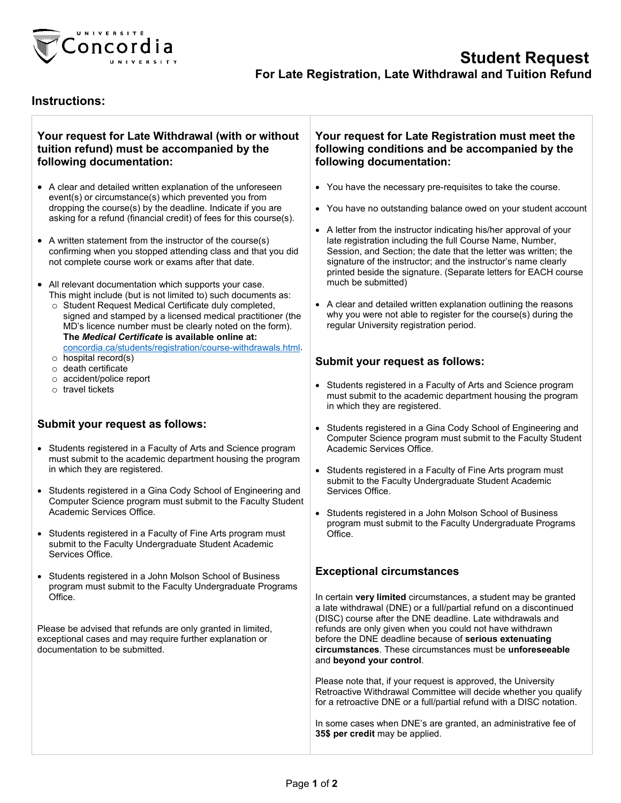

## **Instructions:**

#### **Your request for Late Withdrawal (with or without tuition refund) must be accompanied by the following documentation:**

- A clear and detailed written explanation of the unforeseen event(s) or circumstance(s) which prevented you from dropping the course(s) by the deadline. Indicate if you are asking for a refund (financial credit) of fees for this course(s).
- A written statement from the instructor of the course(s) confirming when you stopped attending class and that you did not complete course work or exams after that date.
- All relevant documentation which supports your case. This might include (but is not limited to) such documents as:
	- o Student Request Medical Certificate duly completed, signed and stamped by a licensed medical practitioner (the MD's licence number must be clearly noted on the form). **The** *Medical Certificate* **is available online at:** [concordia.ca/students/registration/course-withdrawals.html.](http://www.concordia.ca/students/registration/course-withdrawals.html)
	- o hospital record(s)
	- o death certificate
	- o accident/police report
	- o travel tickets

## **Submit your request as follows:**

- Students registered in a Faculty of Arts and Science program must submit to the academic department housing the program in which they are registered.
- Students registered in a Gina Cody School of Engineering and Computer Science program must submit to the Faculty Student Academic Services Office.
- Students registered in a Faculty of Fine Arts program must submit to the Faculty Undergraduate Student Academic Services Office.
- Students registered in a John Molson School of Business program must submit to the Faculty Undergraduate Programs Office.

Please be advised that refunds are only granted in limited, exceptional cases and may require further explanation or documentation to be submitted.

#### **Your request for Late Registration must meet the following conditions and be accompanied by the following documentation:**

- You have the necessary pre-requisites to take the course.
- You have no outstanding balance owed on your student account
- A letter from the instructor indicating his/her approval of your late registration including the full Course Name, Number, Session, and Section; the date that the letter was written; the signature of the instructor; and the instructor's name clearly printed beside the signature. (Separate letters for EACH course much be submitted)
- A clear and detailed written explanation outlining the reasons why you were not able to register for the course(s) during the regular University registration period.

#### **Submit your request as follows:**

- Students registered in a Faculty of Arts and Science program must submit to the academic department housing the program in which they are registered.
- Students registered in a Gina Cody School of Engineering and Computer Science program must submit to the Faculty Student Academic Services Office.
- Students registered in a Faculty of Fine Arts program must submit to the Faculty Undergraduate Student Academic Services Office.
- Students registered in a John Molson School of Business program must submit to the Faculty Undergraduate Programs  $Off$ ice

## **Exceptional circumstances**

In certain **very limited** circumstances, a student may be granted a late withdrawal (DNE) or a full/partial refund on a discontinued (DISC) course after the DNE deadline. Late withdrawals and refunds are only given when you could not have withdrawn before the DNE deadline because of **serious extenuating circumstances**. These circumstances must be **unforeseeable** and **beyond your control**.

Please note that, if your request is approved, the University Retroactive Withdrawal Committee will decide whether you qualify for a retroactive DNE or a full/partial refund with a DISC notation.

In some cases when DNE's are granted, an administrative fee of **35\$ per credit** may be applied.